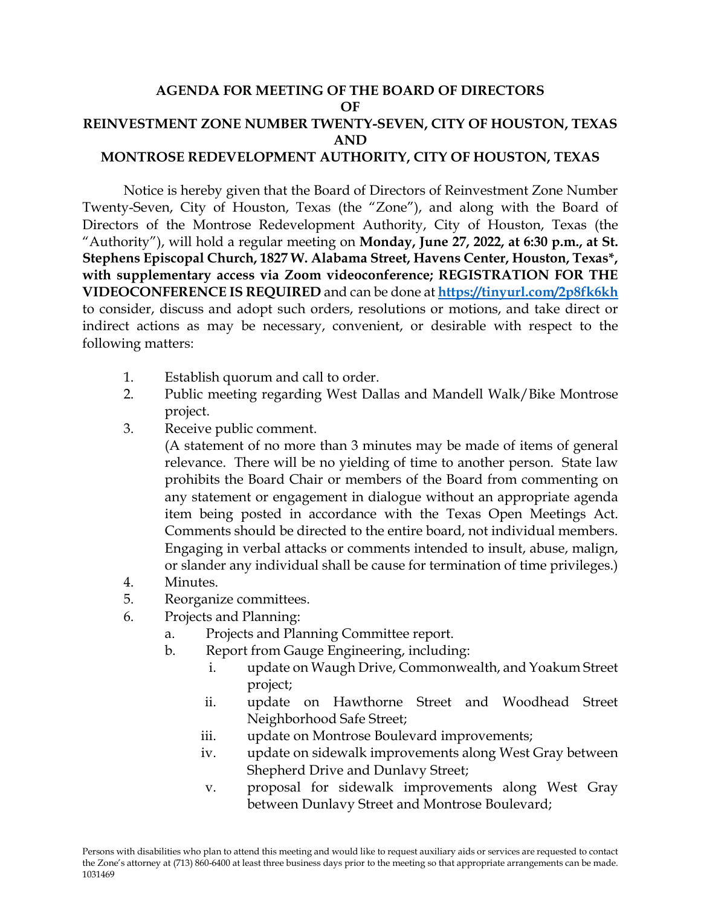## **AGENDA FOR MEETING OF THE BOARD OF DIRECTORS OF REINVESTMENT ZONE NUMBER TWENTY-SEVEN, CITY OF HOUSTON, TEXAS AND MONTROSE REDEVELOPMENT AUTHORITY, CITY OF HOUSTON, TEXAS**

Notice is hereby given that the Board of Directors of Reinvestment Zone Number Twenty-Seven, City of Houston, Texas (the "Zone"), and along with the Board of Directors of the Montrose Redevelopment Authority, City of Houston, Texas (the "Authority"), will hold a regular meeting on **Monday, June 27, 2022, at 6:30 p.m., at St. Stephens Episcopal Church, 1827 W. Alabama Street, Havens Center, Houston, Texas\*, with supplementary access via Zoom videoconference; REGISTRATION FOR THE VIDEOCONFERENCE IS REQUIRED** and can be done at **<https://tinyurl.com/2p8fk6kh>** to consider, discuss and adopt such orders, resolutions or motions, and take direct or indirect actions as may be necessary, convenient, or desirable with respect to the following matters:

- 1. Establish quorum and call to order.
- 2. Public meeting regarding West Dallas and Mandell Walk/Bike Montrose project.
- 3. Receive public comment.

(A statement of no more than 3 minutes may be made of items of general relevance. There will be no yielding of time to another person. State law prohibits the Board Chair or members of the Board from commenting on any statement or engagement in dialogue without an appropriate agenda item being posted in accordance with the Texas Open Meetings Act. Comments should be directed to the entire board, not individual members. Engaging in verbal attacks or comments intended to insult, abuse, malign, or slander any individual shall be cause for termination of time privileges.)

- 4. Minutes.
- 5. Reorganize committees.
- 6. Projects and Planning:
	- a. Projects and Planning Committee report.
	- b. Report from Gauge Engineering, including:
		- i. update on Waugh Drive, Commonwealth, and Yoakum Street project;
		- ii. update on Hawthorne Street and Woodhead Street Neighborhood Safe Street;
		- iii. update on Montrose Boulevard improvements;
		- iv. update on sidewalk improvements along West Gray between Shepherd Drive and Dunlavy Street;
		- v. proposal for sidewalk improvements along West Gray between Dunlavy Street and Montrose Boulevard;